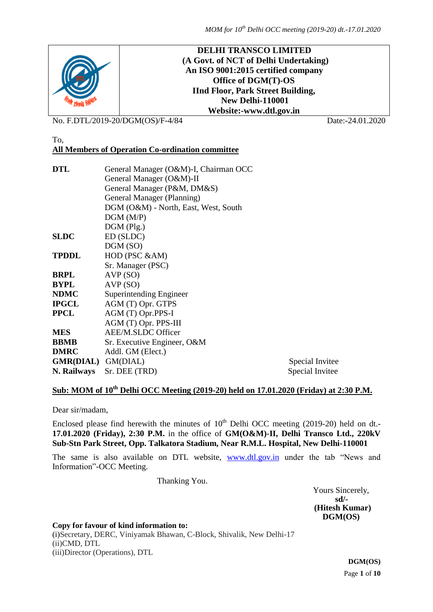

No. F.DTL/2019-20/DGM(OS)/F-4/84 Date:-24.01.2020

To,

# **All Members of Operation Co-ordination committee**

| Special Invitee |
|-----------------|
| Special Invitee |
|                 |

# **Sub: MOM of 10th Delhi OCC Meeting (2019-20) held on 17.01.2020 (Friday) at 2:30 P.M.**

Dear sir/madam,

Enclosed please find herewith the minutes of  $10<sup>th</sup>$  Delhi OCC meeting (2019-20) held on dt.-**17.01.2020 (Friday), 2:30 P.M.** in the office of **GM(O&M)-II, Delhi Transco Ltd., 220kV Sub-Stn Park Street, Opp. Talkatora Stadium, Near R.M.L. Hospital, New Delhi-110001**

The same is also available on DTL website, [www.dtl.gov.in](http://www.dtl.gov.in/) under the tab "News and Information"-OCC Meeting.

Thanking You.

Yours Sincerely,  **sd/- (Hitesh Kumar) DGM(OS)**

**Copy for favour of kind information to:**

(i)Secretary, DERC, Viniyamak Bhawan, C-Block, Shivalik, New Delhi-17 (ii)CMD, DTL (iii)Director (Operations), DTL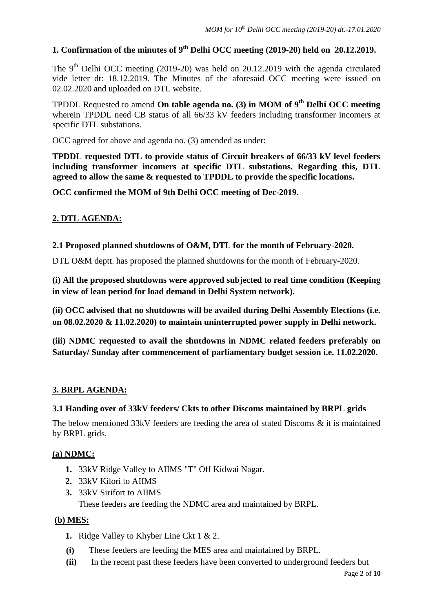# **1. Confirmation of the minutes of 9 th Delhi OCC meeting (2019-20) held on 20.12.2019.**

The  $9<sup>th</sup>$  Delhi OCC meeting (2019-20) was held on 20.12.2019 with the agenda circulated vide letter dt: 18.12.2019. The Minutes of the aforesaid OCC meeting were issued on 02.02.2020 and uploaded on DTL website.

TPDDL Requested to amend **On table agenda no. (3) in MOM of 9th Delhi OCC meeting** wherein TPDDL need CB status of all 66/33 kV feeders including transformer incomers at specific DTL substations.

OCC agreed for above and agenda no. (3) amended as under:

**TPDDL requested DTL to provide status of Circuit breakers of 66/33 kV level feeders including transformer incomers at specific DTL substations. Regarding this, DTL agreed to allow the same & requested to TPDDL to provide the specific locations.** 

**OCC confirmed the MOM of 9th Delhi OCC meeting of Dec-2019.**

# **2. DTL AGENDA:**

### **2.1 Proposed planned shutdowns of O&M, DTL for the month of February-2020.**

DTL O&M deptt. has proposed the planned shutdowns for the month of February-2020.

**(i) All the proposed shutdowns were approved subjected to real time condition (Keeping in view of lean period for load demand in Delhi System network).** 

**(ii) OCC advised that no shutdowns will be availed during Delhi Assembly Elections (i.e. on 08.02.2020 & 11.02.2020) to maintain uninterrupted power supply in Delhi network.** 

**(iii) NDMC requested to avail the shutdowns in NDMC related feeders preferably on Saturday/ Sunday after commencement of parliamentary budget session i.e. 11.02.2020.**

# **3. BRPL AGENDA:**

### **3.1 Handing over of 33kV feeders/ Ckts to other Discoms maintained by BRPL grids**

The below mentioned 33kV feeders are feeding the area of stated Discoms & it is maintained by BRPL grids.

### **(a) NDMC:**

- **1.** 33kV Ridge Valley to AIIMS "T" Off Kidwai Nagar.
- **2.** 33kV Kilori to AIIMS
- **3.** 33kV Sirifort to AIIMS

These feeders are feeding the NDMC area and maintained by BRPL.

# **(b) MES:**

- **1.** Ridge Valley to Khyber Line Ckt 1 & 2.
- **(i)** These feeders are feeding the MES area and maintained by BRPL.
- **(ii)** In the recent past these feeders have been converted to underground feeders but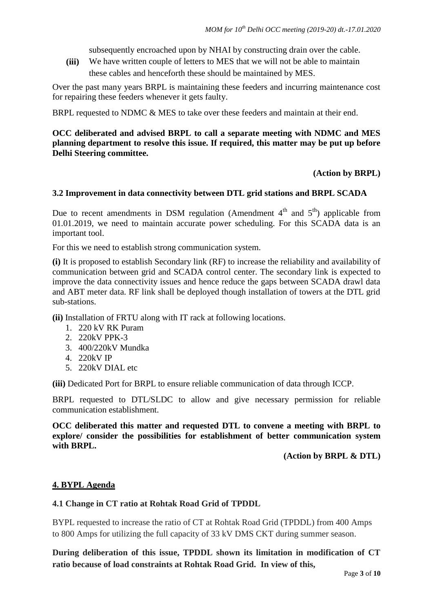subsequently encroached upon by NHAI by constructing drain over the cable.

**(iii)** We have written couple of letters to MES that we will not be able to maintain these cables and henceforth these should be maintained by MES.

Over the past many years BRPL is maintaining these feeders and incurring maintenance cost for repairing these feeders whenever it gets faulty.

BRPL requested to NDMC  $& MES$  to take over these feeders and maintain at their end.

# **OCC deliberated and advised BRPL to call a separate meeting with NDMC and MES planning department to resolve this issue. If required, this matter may be put up before Delhi Steering committee.**

### **(Action by BRPL)**

### **3.2 Improvement in data connectivity between DTL grid stations and BRPL SCADA**

Due to recent amendments in DSM regulation (Amendment  $4<sup>th</sup>$  and  $5<sup>th</sup>$ ) applicable from 01.01.2019, we need to maintain accurate power scheduling. For this SCADA data is an important tool.

For this we need to establish strong communication system.

**(i)** It is proposed to establish Secondary link (RF) to increase the reliability and availability of communication between grid and SCADA control center. The secondary link is expected to improve the data connectivity issues and hence reduce the gaps between SCADA drawl data and ABT meter data. RF link shall be deployed though installation of towers at the DTL grid sub-stations.

**(ii)** Installation of FRTU along with IT rack at following locations.

- 1. 220 kV RK Puram
- 2. 220kV PPK-3
- 3. 400/220kV Mundka
- 4. 220kV IP
- 5. 220kV DIAL etc

**(iii)** Dedicated Port for BRPL to ensure reliable communication of data through ICCP.

BRPL requested to DTL/SLDC to allow and give necessary permission for reliable communication establishment.

**OCC deliberated this matter and requested DTL to convene a meeting with BRPL to explore/ consider the possibilities for establishment of better communication system with BRPL.** 

**(Action by BRPL & DTL)**

### **4. BYPL Agenda**

### **4.1 Change in CT ratio at Rohtak Road Grid of TPDDL**

BYPL requested to increase the ratio of CT at Rohtak Road Grid (TPDDL) from 400 Amps to 800 Amps for utilizing the full capacity of 33 kV DMS CKT during summer season.

**During deliberation of this issue, TPDDL shown its limitation in modification of CT ratio because of load constraints at Rohtak Road Grid. In view of this,**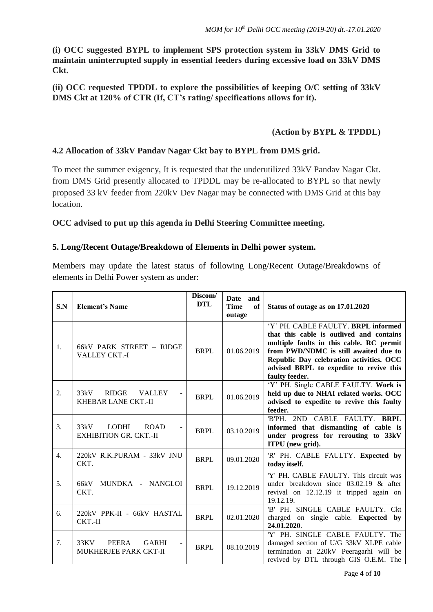**(i) OCC suggested BYPL to implement SPS protection system in 33kV DMS Grid to maintain uninterrupted supply in essential feeders during excessive load on 33kV DMS Ckt.** 

**(ii) OCC requested TPDDL to explore the possibilities of keeping O/C setting of 33kV DMS Ckt at 120% of CTR (If, CT's rating/ specifications allows for it).**

# **(Action by BYPL & TPDDL)**

# **4.2 Allocation of 33kV Pandav Nagar Ckt bay to BYPL from DMS grid.**

To meet the summer exigency, It is requested that the underutilized 33kV Pandav Nagar Ckt. from DMS Grid presently allocated to TPDDL may be re-allocated to BYPL so that newly proposed 33 kV feeder from 220kV Dev Nagar may be connected with DMS Grid at this bay location.

# **OCC advised to put up this agenda in Delhi Steering Committee meeting.**

### **5. Long/Recent Outage/Breakdown of Elements in Delhi power system.**

Members may update the latest status of following Long/Recent Outage/Breakdowns of elements in Delhi Power system as under:

| S.N              | <b>Element's Name</b>                                                | Discom/<br><b>DTL</b> | Date and<br><b>Time</b><br>of<br>outage | Status of outage as on 17.01.2020                                                                                                                                                                                                                                             |
|------------------|----------------------------------------------------------------------|-----------------------|-----------------------------------------|-------------------------------------------------------------------------------------------------------------------------------------------------------------------------------------------------------------------------------------------------------------------------------|
| 1.               | 66kV PARK STREET - RIDGE<br><b>VALLEY CKT.-I</b>                     | <b>BRPL</b>           | 01.06.2019                              | 'Y' PH. CABLE FAULTY. BRPL informed<br>that this cable is outlived and contains<br>multiple faults in this cable. RC permit<br>from PWD/NDMC is still awaited due to<br>Republic Day celebration activities. OCC<br>advised BRPL to expedite to revive this<br>faulty feeder. |
| $\overline{2}$ . | 33kV<br><b>RIDGE</b><br><b>VALLEY</b><br><b>KHEBAR LANE CKT.-II</b>  | <b>BRPL</b>           | 01.06.2019                              | 'Y' PH. Single CABLE FAULTY. Work is<br>held up due to NHAI related works. OCC<br>advised to expedite to revive this faulty<br>feeder.                                                                                                                                        |
| 3.               | 33kV<br><b>ROAD</b><br><b>LODHI</b><br><b>EXHIBITION GR. CKT.-II</b> | <b>BRPL</b>           | 03.10.2019                              | 'B'PH. 2ND CABLE FAULTY. BRPL<br>informed that dismantling of cable is<br>under progress for rerouting to 33kV<br>ITPU (new grid).                                                                                                                                            |
| $\overline{4}$ . | 220kV R.K.PURAM - 33kV JNU<br>CKT.                                   | <b>BRPL</b>           | 09.01.2020                              | 'R' PH. CABLE FAULTY. Expected by<br>today itself.                                                                                                                                                                                                                            |
| 5.               | MUNDKA - NANGLOI<br>66kV<br>CKT.                                     | <b>BRPL</b>           | 19.12.2019                              | 'Y' PH. CABLE FAULTY. This circuit was<br>under breakdown since $03.02.19$ & after<br>revival on 12.12.19 it tripped again on<br>19.12.19.                                                                                                                                    |
| 6.               | 220kV PPK-II - 66kV HASTAL<br>$CKT.-II$                              | <b>BRPL</b>           | 02.01.2020                              | 'B' PH. SINGLE CABLE FAULTY. Ckt<br>charged on single cable. <b>Expected by</b><br>24.01.2020.                                                                                                                                                                                |
| 7.               | 33KV<br>PEERA<br><b>GARHI</b><br>MUKHERJEE PARK CKT-II               | <b>BRPL</b>           | 08.10.2019                              | 'Y' PH. SINGLE CABLE FAULTY. The<br>damaged section of U/G 33kV XLPE cable<br>termination at 220kV Peeragarhi will be<br>revived by DTL through GIS O.E.M. The                                                                                                                |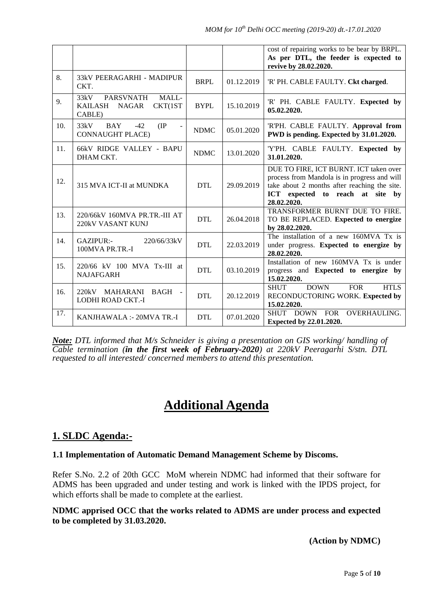|     |                                                                                          |             |            | cost of repairing works to be bear by BRPL.<br>As per DTL, the feeder is expected to<br>revive by 28.02.2020.                                                                             |
|-----|------------------------------------------------------------------------------------------|-------------|------------|-------------------------------------------------------------------------------------------------------------------------------------------------------------------------------------------|
| 8.  | 33kV PEERAGARHI - MADIPUR<br>CKT.                                                        | <b>BRPL</b> | 01.12.2019 | 'R' PH. CABLE FAULTY. Ckt charged.                                                                                                                                                        |
| 9.  | <b>PARSVNATH</b><br>MALL-<br>33kV<br><b>KAILASH</b><br>CKT(1ST<br><b>NAGAR</b><br>CABLE) | <b>BYPL</b> | 15.10.2019 | 'R' PH. CABLE FAULTY. Expected by<br>05.02.2020.                                                                                                                                          |
| 10. | (IP)<br>33kV<br>$-42$<br><b>BAY</b><br><b>CONNAUGHT PLACE)</b>                           | <b>NDMC</b> | 05.01.2020 | 'R'PH. CABLE FAULTY. Approval from<br>PWD is pending. Expected by 31.01.2020.                                                                                                             |
| 11. | 66kV RIDGE VALLEY - BAPU<br>DHAM CKT.                                                    | <b>NDMC</b> | 13.01.2020 | 'Y'PH. CABLE FAULTY. Expected by<br>31.01.2020.                                                                                                                                           |
| 12. | 315 MVA ICT-II at MUNDKA                                                                 | <b>DTL</b>  | 29.09.2019 | DUE TO FIRE, ICT BURNT. ICT taken over<br>process from Mandola is in progress and will<br>take about 2 months after reaching the site.<br>ICT expected to reach at site by<br>28.02.2020. |
| 13. | 220/66kV 160MVA PR.TR.-III AT<br>220kV VASANT KUNJ                                       | <b>DTL</b>  | 26.04.2018 | TRANSFORMER BURNT DUE TO FIRE.<br>TO BE REPLACED. Expected to energize<br>by 28.02.2020.                                                                                                  |
| 14. | GAZIPUR:-<br>220/66/33kV<br>100MVA PR.TR.-I                                              | <b>DTL</b>  | 22.03.2019 | The installation of a new $160MVA$ Tx is<br>under progress. Expected to energize by<br>28.02.2020.                                                                                        |
| 15. | 220/66 kV 100 MVA Tx-III at<br><b>NAJAFGARH</b>                                          | <b>DTL</b>  | 03.10.2019 | Installation of new 160MVA Tx is under<br>progress and Expected to energize by<br>15.02.2020.                                                                                             |
| 16. | 220kV<br>MAHARANI BAGH -<br>LODHI ROAD CKT.-I                                            | <b>DTL</b>  | 20.12.2019 | <b>SHUT</b><br><b>DOWN</b><br><b>FOR</b><br><b>HTLS</b><br>RECONDUCTORING WORK. Expected by<br>15.02.2020.                                                                                |
| 17. | KANJHAWALA :- 20MVA TR.-I                                                                | <b>DTL</b>  | 07.01.2020 | SHUT DOWN FOR<br>OVERHAULING.<br>Expected by 22.01.2020.                                                                                                                                  |

*Note: DTL informed that M/s Schneider is giving a presentation on GIS working/ handling of Cable termination (in the first week of February-2020) at 220kV Peeragarhi S/stn. DTL requested to all interested/ concerned members to attend this presentation.*

# **Additional Agenda**

# **1. SLDC Agenda:-**

# **1.1 Implementation of Automatic Demand Management Scheme by Discoms.**

Refer S.No. 2.2 of 20th GCC MoM wherein NDMC had informed that their software for ADMS has been upgraded and under testing and work is linked with the IPDS project, for which efforts shall be made to complete at the earliest.

**NDMC apprised OCC that the works related to ADMS are under process and expected to be completed by 31.03.2020.**

**(Action by NDMC)**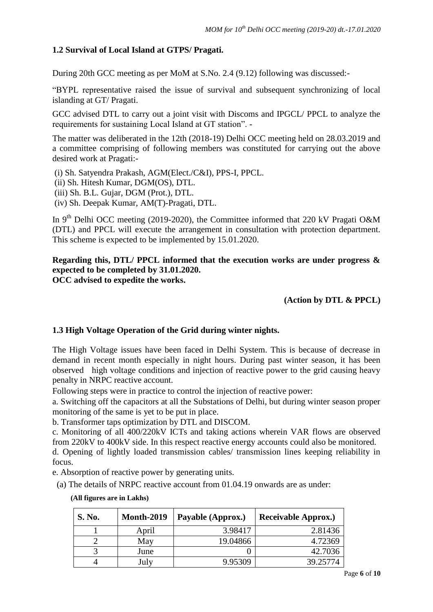# **1.2 Survival of Local Island at GTPS/ Pragati.**

During 20th GCC meeting as per MoM at S.No. 2.4 (9.12) following was discussed:-

"BYPL representative raised the issue of survival and subsequent synchronizing of local islanding at GT/ Pragati.

GCC advised DTL to carry out a joint visit with Discoms and IPGCL/ PPCL to analyze the requirements for sustaining Local Island at GT station". -

The matter was deliberated in the 12th (2018-19) Delhi OCC meeting held on 28.03.2019 and a committee comprising of following members was constituted for carrying out the above desired work at Pragati:-

(i) Sh. Satyendra Prakash, AGM(Elect./C&I), PPS-I, PPCL.

- (ii) Sh. Hitesh Kumar, DGM(OS), DTL.
- (iii) Sh. B.L. Gujar, DGM (Prot.), DTL.
- (iv) Sh. Deepak Kumar, AM(T)-Pragati, DTL.

In 9<sup>th</sup> Delhi OCC meeting (2019-2020), the Committee informed that 220 kV Pragati O&M (DTL) and PPCL will execute the arrangement in consultation with protection department. This scheme is expected to be implemented by 15.01.2020.

# **Regarding this, DTL/ PPCL informed that the execution works are under progress & expected to be completed by 31.01.2020. OCC advised to expedite the works.**

**(Action by DTL & PPCL)** 

# **1.3 High Voltage Operation of the Grid during winter nights.**

The High Voltage issues have been faced in Delhi System. This is because of decrease in demand in recent month especially in night hours. During past winter season, it has been observed high voltage conditions and injection of reactive power to the grid causing heavy penalty in NRPC reactive account.

Following steps were in practice to control the injection of reactive power:

a. Switching off the capacitors at all the Substations of Delhi, but during winter season proper monitoring of the same is yet to be put in place.

b. Transformer taps optimization by DTL and DISCOM.

c. Monitoring of all 400/220kV ICTs and taking actions wherein VAR flows are observed from 220kV to 400kV side. In this respect reactive energy accounts could also be monitored.

d. Opening of lightly loaded transmission cables/ transmission lines keeping reliability in focus.

e. Absorption of reactive power by generating units.

(a) The details of NRPC reactive account from 01.04.19 onwards are as under:

| <b>S. No.</b> | <b>Month-2019</b> | Payable (Approx.) | <b>Receivable Approx.</b> ) |
|---------------|-------------------|-------------------|-----------------------------|
|               | April             | 3.98417           | 2.81436                     |
|               | May               | 19.04866          | 4.72369                     |
|               | June              |                   | 42.7036                     |
|               | July              | 9.95309           | 39.25774                    |

### **(All figures are in Lakhs)**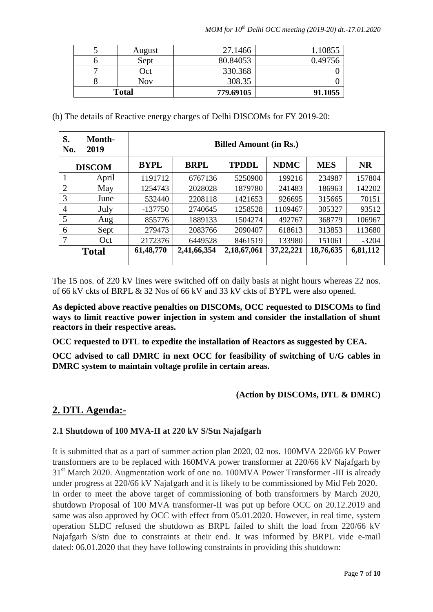| <b>Total</b> |        | 779.69105 | 91.1055 |
|--------------|--------|-----------|---------|
| Õ            | Nov    | 308.35    |         |
| −            | Oct    | 330.368   |         |
| n            | Sept   | 80.84053  | 0.49756 |
|              | August | 27.1466   | 1.10855 |

(b) The details of Reactive energy charges of Delhi DISCOMs for FY 2019-20:

| S.<br>No.      | Month-<br>2019 | <b>Billed Amount (in Rs.)</b> |             |              |             |            |           |  |  |
|----------------|----------------|-------------------------------|-------------|--------------|-------------|------------|-----------|--|--|
| <b>DISCOM</b>  |                | <b>BYPL</b>                   | <b>BRPL</b> | <b>TPDDL</b> | <b>NDMC</b> | <b>MES</b> | <b>NR</b> |  |  |
|                | April          | 1191712                       | 6767136     | 5250900      | 199216      | 234987     | 157804    |  |  |
| $\overline{2}$ | May            | 1254743                       | 2028028     | 1879780      | 241483      | 186963     | 142202    |  |  |
| 3              | June           | 532440                        | 2208118     | 1421653      | 926695      | 315665     | 70151     |  |  |
| $\overline{4}$ | July           | $-137750$                     | 2740645     | 1258528      | 1109467     | 305327     | 93512     |  |  |
| 5              | Aug            | 855776                        | 1889133     | 1504274      | 492767      | 368779     | 106967    |  |  |
| 6              | Sept           | 279473                        | 2083766     | 2090407      | 618613      | 313853     | 113680    |  |  |
|                | Oct            | 2172376                       | 6449528     | 8461519      | 133980      | 151061     | $-3204$   |  |  |
|                | <b>Total</b>   | 61,48,770                     | 2,41,66,354 | 2,18,67,061  | 37,22,221   | 18,76,635  | 6,81,112  |  |  |

The 15 nos. of 220 kV lines were switched off on daily basis at night hours whereas 22 nos. of 66 kV ckts of BRPL & 32 Nos of 66 kV and 33 kV ckts of BYPL were also opened.

**As depicted above reactive penalties on DISCOMs, OCC requested to DISCOMs to find ways to limit reactive power injection in system and consider the installation of shunt reactors in their respective areas.**

**OCC requested to DTL to expedite the installation of Reactors as suggested by CEA.**

**OCC advised to call DMRC in next OCC for feasibility of switching of U/G cables in DMRC system to maintain voltage profile in certain areas.**

# **(Action by DISCOMs, DTL & DMRC)**

# **2. DTL Agenda:-**

# **2.1 Shutdown of 100 MVA-II at 220 kV S/Stn Najafgarh**

It is submitted that as a part of summer action plan 2020, 02 nos. 100MVA 220/66 kV Power transformers are to be replaced with 160MVA power transformer at 220/66 kV Najafgarh by 31<sup>st</sup> March 2020. Augmentation work of one no. 100MVA Power Transformer -III is already under progress at 220/66 kV Najafgarh and it is likely to be commissioned by Mid Feb 2020. In order to meet the above target of commissioning of both transformers by March 2020, shutdown Proposal of 100 MVA transformer-II was put up before OCC on 20.12.2019 and same was also approved by OCC with effect from 05.01.2020. However, in real time, system operation SLDC refused the shutdown as BRPL failed to shift the load from 220/66 kV Najafgarh S/stn due to constraints at their end. It was informed by BRPL vide e-mail dated: 06.01.2020 that they have following constraints in providing this shutdown: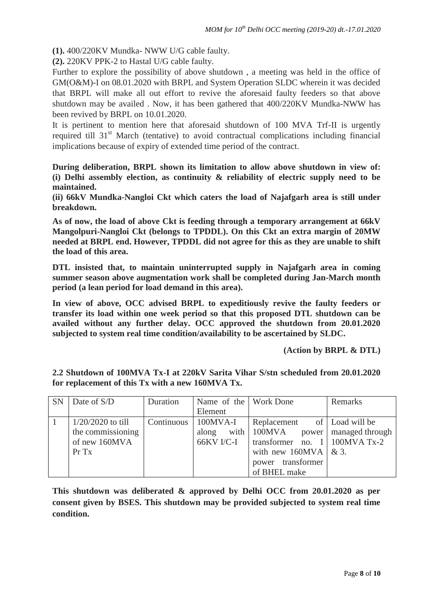**(1).** 400/220KV Mundka- NWW U/G cable faulty.

**(2).** 220KV PPK-2 to Hastal U/G cable faulty.

Further to explore the possibility of above shutdown , a meeting was held in the office of GM(O&M)-I on 08.01.2020 with BRPL and System Operation SLDC wherein it was decided that BRPL will make all out effort to revive the aforesaid faulty feeders so that above shutdown may be availed . Now, it has been gathered that 400/220KV Mundka-NWW has been revived by BRPL on 10.01.2020.

It is pertinent to mention here that aforesaid shutdown of 100 MVA Trf-II is urgently required till  $31<sup>st</sup>$  March (tentative) to avoid contractual complications including financial implications because of expiry of extended time period of the contract.

**During deliberation, BRPL shown its limitation to allow above shutdown in view of: (i) Delhi assembly election, as continuity & reliability of electric supply need to be maintained.**

**(ii) 66kV Mundka-Nangloi Ckt which caters the load of Najafgarh area is still under breakdown.** 

**As of now, the load of above Ckt is feeding through a temporary arrangement at 66kV Mangolpuri-Nangloi Ckt (belongs to TPDDL). On this Ckt an extra margin of 20MW needed at BRPL end. However, TPDDL did not agree for this as they are unable to shift the load of this area.**

**DTL insisted that, to maintain uninterrupted supply in Najafgarh area in coming summer season above augmentation work shall be completed during Jan-March month period (a lean period for load demand in this area).** 

**In view of above, OCC advised BRPL to expeditiously revive the faulty feeders or transfer its load within one week period so that this proposed DTL shutdown can be availed without any further delay. OCC approved the shutdown from 20.01.2020 subjected to system real time condition/availability to be ascertained by SLDC.** 

**(Action by BRPL & DTL)**

| <b>SN</b> | Date of S/D         | Duration | Name of the Work Done     |                                     | Remarks |
|-----------|---------------------|----------|---------------------------|-------------------------------------|---------|
|           |                     |          | Element                   |                                     |         |
|           | $1/20/2020$ to till |          | Continuous   100MVA-I     | Replacement of   Load will be       |         |
|           | the commissioning   |          | along                     | with 100MVA power   managed through |         |
|           | of new 160MVA       |          | $66$ KV I/C-I $\parallel$ | transformer no. I   100MVA Tx-2     |         |
|           | $Pr$ Tx             |          |                           | with new 160MVA $\&$ 3.             |         |
|           |                     |          |                           | power transformer                   |         |
|           |                     |          |                           | of BHEL make                        |         |

**2.2 Shutdown of 100MVA Tx-I at 220kV Sarita Vihar S/stn scheduled from 20.01.2020 for replacement of this Tx with a new 160MVA Tx.**

**This shutdown was deliberated & approved by Delhi OCC from 20.01.2020 as per consent given by BSES. This shutdown may be provided subjected to system real time condition.**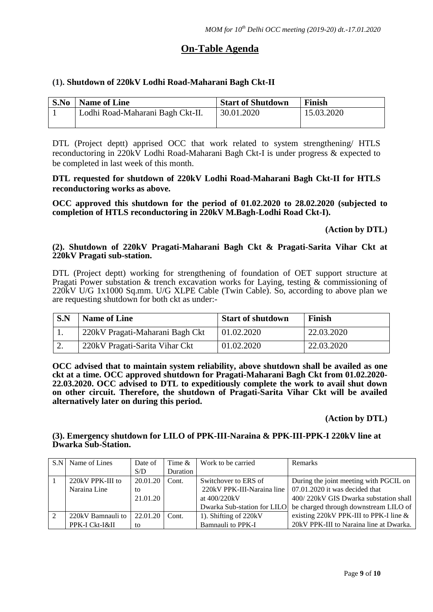# **On-Table Agenda**

# **(1). Shutdown of 220kV Lodhi Road-Maharani Bagh Ckt-II**

| S.No | <b>Name of Line</b>              | <b>Start of Shutdown</b> | Finish     |
|------|----------------------------------|--------------------------|------------|
|      | Lodhi Road-Maharani Bagh Ckt-II. | 30.01.2020               | 15.03.2020 |
|      |                                  |                          |            |

DTL (Project deptt) apprised OCC that work related to system strengthening/ HTLS reconductoring in 220kV Lodhi Road-Maharani Bagh Ckt-I is under progress & expected to be completed in last week of this month.

### **DTL requested for shutdown of 220kV Lodhi Road-Maharani Bagh Ckt-II for HTLS reconductoring works as above.**

**OCC approved this shutdown for the period of 01.02.2020 to 28.02.2020 (subjected to completion of HTLS reconductoring in 220kV M.Bagh-Lodhi Road Ckt-I).**

### **(Action by DTL)**

### **(2). Shutdown of 220kV Pragati-Maharani Bagh Ckt & Pragati-Sarita Vihar Ckt at 220kV Pragati sub-station.**

DTL (Project deptt) working for strengthening of foundation of OET support structure at Pragati Power substation & trench excavation works for Laying, testing & commissioning of 220kV U/G 1x1000 Sq.mm. U/G XLPE Cable (Twin Cable). So, according to above plan we are requesting shutdown for both ckt as under:-

| S.N | <b>Name of Line</b>             | <b>Start of shutdown</b> | Finish     |
|-----|---------------------------------|--------------------------|------------|
|     | 220kV Pragati-Maharani Bagh Ckt | 01.02.2020               | 22.03.2020 |
| ۷.  | 220kV Pragati-Sarita Vihar Ckt  | 01.02.2020               | 22.03.2020 |

**OCC advised that to maintain system reliability, above shutdown shall be availed as one ckt at a time. OCC approved shutdown for Pragati-Maharani Bagh Ckt from 01.02.2020- 22.03.2020. OCC advised to DTL to expeditiously complete the work to avail shut down on other circuit. Therefore, the shutdown of Pragati-Sarita Vihar Ckt will be availed alternatively later on during this period.** 

**(Action by DTL)**

### **(3). Emergency shutdown for LILO of PPK-III-Naraina & PPK-III-PPK-I 220kV line at Dwarka Sub-Station.**

|   | S.N. Name of Lines | Date of  | Time $&$ | Work to be carried    | Remarks                                                           |
|---|--------------------|----------|----------|-----------------------|-------------------------------------------------------------------|
|   |                    | S/D      | Duration |                       |                                                                   |
|   | 220kV PPK-III to   | 20.01.20 | Cont.    | Switchover to ERS of  | During the joint meeting with PGCIL on                            |
|   | Naraina Line       | to       |          |                       | 220kV PPK-III-Naraina line $\vert$ 07.01.2020 it was decided that |
|   |                    | 21.01.20 |          | at 400/220kV          | 400/220kV GIS Dwarka substation shall                             |
|   |                    |          |          |                       | Dwarka Sub-station for LILO be charged through downstream LILO of |
| 2 | 220kV Bamnauli to  | 22.01.20 | Cont.    | 1). Shifting of 220kV | existing 220kV PPK-III to PPK-I line &                            |
|   | PPK-I Ckt-I&II     | to       |          | Bamnauli to PPK-I     | 20kV PPK-III to Naraina line at Dwarka.                           |